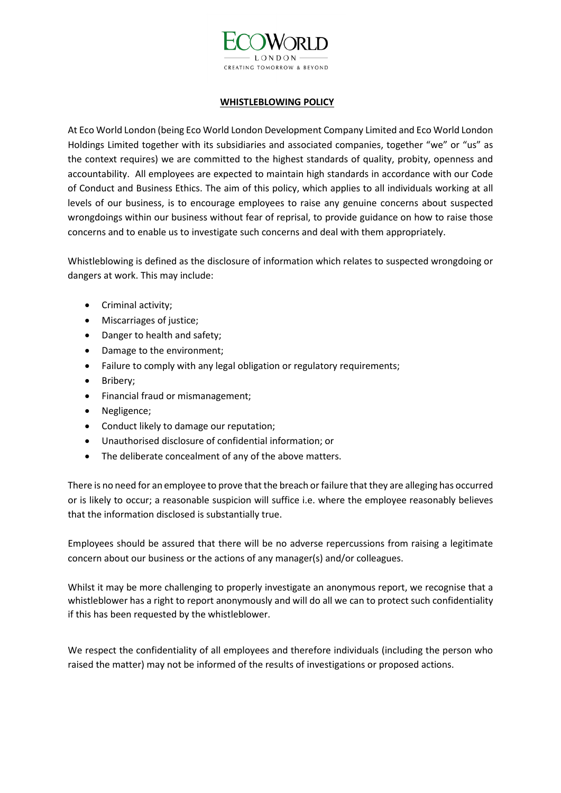

#### **WHISTLEBLOWING POLICY**

At Eco World London (being Eco World London Development Company Limited and Eco World London Holdings Limited together with its subsidiaries and associated companies, together "we" or "us" as the context requires) we are committed to the highest standards of quality, probity, openness and accountability. All employees are expected to maintain high standards in accordance with our Code of Conduct and Business Ethics. The aim of this policy, which applies to all individuals working at all levels of our business, is to encourage employees to raise any genuine concerns about suspected wrongdoings within our business without fear of reprisal, to provide guidance on how to raise those concerns and to enable us to investigate such concerns and deal with them appropriately.

Whistleblowing is defined as the disclosure of information which relates to suspected wrongdoing or dangers at work. This may include:

- Criminal activity;
- Miscarriages of justice;
- Danger to health and safety;
- Damage to the environment;
- Failure to comply with any legal obligation or regulatory requirements;
- Bribery;
- Financial fraud or mismanagement;
- Negligence;
- Conduct likely to damage our reputation;
- Unauthorised disclosure of confidential information; or
- The deliberate concealment of any of the above matters.

There is no need for an employee to prove that the breach or failure that they are alleging has occurred or is likely to occur; a reasonable suspicion will suffice i.e. where the employee reasonably believes that the information disclosed is substantially true.

Employees should be assured that there will be no adverse repercussions from raising a legitimate concern about our business or the actions of any manager(s) and/or colleagues.

Whilst it may be more challenging to properly investigate an anonymous report, we recognise that a whistleblower has a right to report anonymously and will do all we can to protect such confidentiality if this has been requested by the whistleblower.

We respect the confidentiality of all employees and therefore individuals (including the person who raised the matter) may not be informed of the results of investigations or proposed actions.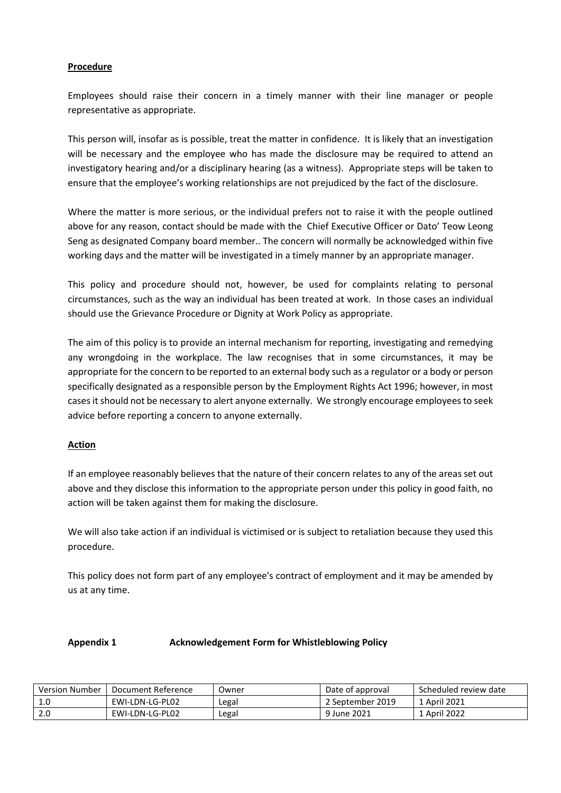## **Procedure**

Employees should raise their concern in a timely manner with their line manager or people representative as appropriate.

This person will, insofar as is possible, treat the matter in confidence. It is likely that an investigation will be necessary and the employee who has made the disclosure may be required to attend an investigatory hearing and/or a disciplinary hearing (as a witness). Appropriate steps will be taken to ensure that the employee's working relationships are not prejudiced by the fact of the disclosure.

Where the matter is more serious, or the individual prefers not to raise it with the people outlined above for any reason, contact should be made with the Chief Executive Officer or Dato' Teow Leong Seng as designated Company board member.. The concern will normally be acknowledged within five working days and the matter will be investigated in a timely manner by an appropriate manager.

This policy and procedure should not, however, be used for complaints relating to personal circumstances, such as the way an individual has been treated at work. In those cases an individual should use the Grievance Procedure or Dignity at Work Policy as appropriate.

The aim of this policy is to provide an internal mechanism for reporting, investigating and remedying any wrongdoing in the workplace. The law recognises that in some circumstances, it may be appropriate for the concern to be reported to an external body such as a regulator or a body or person specifically designated as a responsible person by the Employment Rights Act 1996; however, in most cases it should not be necessary to alert anyone externally. We strongly encourage employees to seek advice before reporting a concern to anyone externally.

### **Action**

If an employee reasonably believes that the nature of their concern relates to any of the areas set out above and they disclose this information to the appropriate person under this policy in good faith, no action will be taken against them for making the disclosure.

We will also take action if an individual is victimised or is subject to retaliation because they used this procedure.

This policy does not form part of any employee's contract of employment and it may be amended by us at any time.

### **Appendix 1 Acknowledgement Form for Whistleblowing Policy**

| Version Number | Document Reference | Jwner | Date of approval | Scheduled review date |
|----------------|--------------------|-------|------------------|-----------------------|
|                | EWI-LDN-LG-PL02    | Legal | 2 September 2019 | 1 April 2021          |
| 2.0            | EWI-LDN-LG-PL02    | Legal | 9 June 2021      | 1 April 2022          |